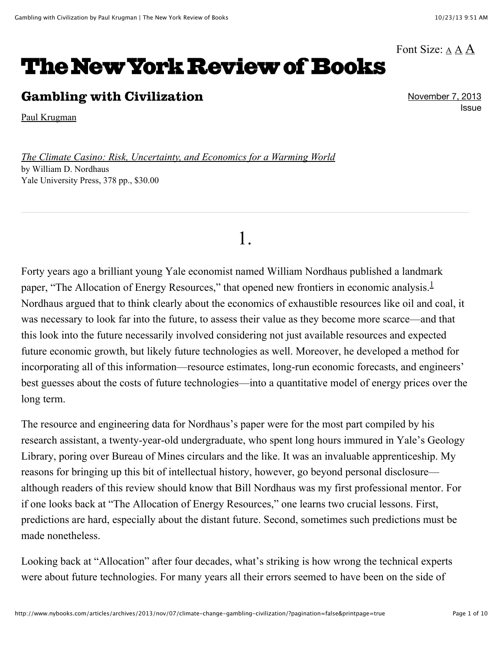#### Font Size:  $\underline{A} \underline{A} \underline{A}$  $\underline{A} \underline{A} \underline{A}$  $\underline{A} \underline{A} \underline{A}$

# **The New York Review of Books**

### Gambling with Civilization

[Paul Krugman](http://www.nybooks.com/contributors/paul-krugman/)

*[The Climate Casino: Risk, Uncertainty, and Economics for a Warming World](http://www.amazon.com/gp/product/030018977X?ie=UTF8&tag=thneyoreofbo-20&linkCode=as2&camp=1789&creative=9325&creativeASIN=030018977X)* by William D. Nordhaus Yale University Press, 378 pp., \$30.00

# 1.

Forty years ago a brilliant young Yale economist named William Nordhaus published a landmark paper, "The Allocation of Energy Resources," that opened new frontiers in economic analysis.<sup>[1](http://www.nybooks.com/articles/archives/2013/nov/07/climate-change-gambling-civilization/?pagination=false&printpage=true#fn-1)</sup> Nordhaus argued that to think clearly about the economics of exhaustible resources like oil and coal, it was necessary to look far into the future, to assess their value as they become more scarce—and that this look into the future necessarily involved considering not just available resources and expected future economic growth, but likely future technologies as well. Moreover, he developed a method for incorporating all of this information—resource estimates, long-run economic forecasts, and engineers' best guesses about the costs of future technologies—into a quantitative model of energy prices over the long term.

The resource and engineering data for Nordhaus's paper were for the most part compiled by his research assistant, a twenty-year-old undergraduate, who spent long hours immured in Yale's Geology Library, poring over Bureau of Mines circulars and the like. It was an invaluable apprenticeship. My reasons for bringing up this bit of intellectual history, however, go beyond personal disclosure although readers of this review should know that Bill Nordhaus was my first professional mentor. For if one looks back at "The Allocation of Energy Resources," one learns two crucial lessons. First, predictions are hard, especially about the distant future. Second, sometimes such predictions must be made nonetheless.

Looking back at "Allocation" after four decades, what's striking is how wrong the technical experts were about future technologies. For many years all their errors seemed to have been on the side of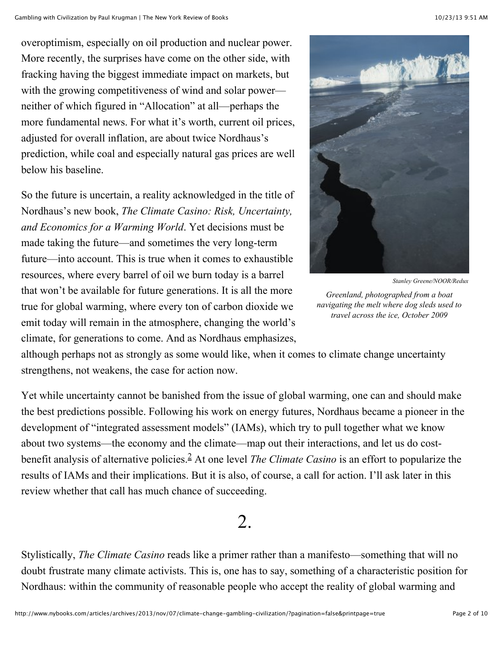overoptimism, especially on oil production and nuclear power. More recently, the surprises have come on the other side, with fracking having the biggest immediate impact on markets, but with the growing competitiveness of wind and solar power neither of which figured in "Allocation" at all—perhaps the more fundamental news. For what it's worth, current oil prices, adjusted for overall inflation, are about twice Nordhaus's prediction, while coal and especially natural gas prices are well below his baseline.

So the future is uncertain, a reality acknowledged in the title of Nordhaus's new book, *The Climate Casino: Risk, Uncertainty, and Economics for a Warming World*. Yet decisions must be made taking the future—and sometimes the very long-term future—into account. This is true when it comes to exhaustible resources, where every barrel of oil we burn today is a barrel that won't be available for future generations. It is all the more true for global warming, where every ton of carbon dioxide we emit today will remain in the atmosphere, changing the world's climate, for generations to come. And as Nordhaus emphasizes,



*Stanley Greene/NOOR/Redux*

*Greenland, photographed from a boat navigating the melt where dog sleds used to travel across the ice, October 2009*

although perhaps not as strongly as some would like, when it comes to climate change uncertainty strengthens, not weakens, the case for action now.

Yet while uncertainty cannot be banished from the issue of global warming, one can and should make the best predictions possible. Following his work on energy futures, Nordhaus became a pioneer in the development of "integrated assessment models" (IAMs), which try to pull together what we know about two systems—the economy and the climate—map out their interactions, and let us do costbenefit analysis of alternative policies.<sup>2</sup> At one level *The Climate Casino* is an effort to popularize the results of IAMs and their implications. But it is also, of course, a call for action. I'll ask later in this review whether that call has much chance of succeeding.

## 2.

Stylistically, *The Climate Casino* reads like a primer rather than a manifesto—something that will no doubt frustrate many climate activists. This is, one has to say, something of a characteristic position for Nordhaus: within the community of reasonable people who accept the reality of global warming and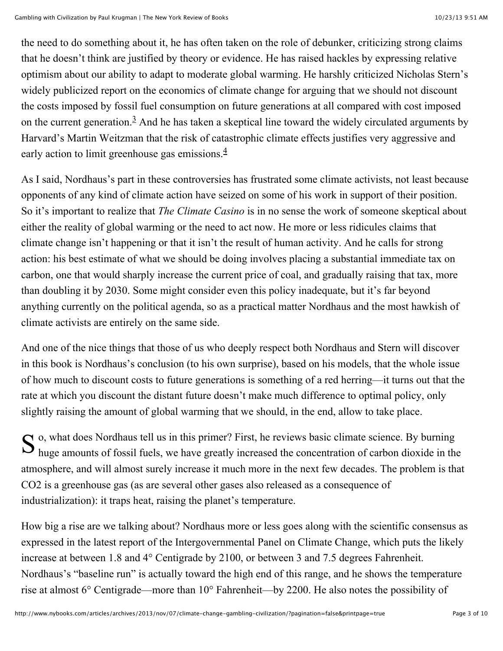the need to do something about it, he has often taken on the role of debunker, criticizing strong claims that he doesn't think are justified by theory or evidence. He has raised hackles by expressing relative optimism about our ability to adapt to moderate global warming. He harshly criticized Nicholas Stern's widely publicized report on the economics of climate change for arguing that we should not discount the costs imposed by fossil fuel consumption on future generations at all compared with cost imposed on the current generation. $3$  And he has taken a skeptical line toward the widely circulated arguments by Harvard's Martin Weitzman that the risk of catastrophic climate effects justifies very aggressive and early action to limit greenhouse gas emissions.<sup>[4](http://www.nybooks.com/articles/archives/2013/nov/07/climate-change-gambling-civilization/?pagination=false&printpage=true#fn-4)</sup>

As I said, Nordhaus's part in these controversies has frustrated some climate activists, not least because opponents of any kind of climate action have seized on some of his work in support of their position. So it's important to realize that *The Climate Casino* is in no sense the work of someone skeptical about either the reality of global warming or the need to act now. He more or less ridicules claims that climate change isn't happening or that it isn't the result of human activity. And he calls for strong action: his best estimate of what we should be doing involves placing a substantial immediate tax on carbon, one that would sharply increase the current price of coal, and gradually raising that tax, more than doubling it by 2030. Some might consider even this policy inadequate, but it's far beyond anything currently on the political agenda, so as a practical matter Nordhaus and the most hawkish of climate activists are entirely on the same side.

And one of the nice things that those of us who deeply respect both Nordhaus and Stern will discover in this book is Nordhaus's conclusion (to his own surprise), based on his models, that the whole issue of how much to discount costs to future generations is something of a red herring—it turns out that the rate at which you discount the distant future doesn't make much difference to optimal policy, only slightly raising the amount of global warming that we should, in the end, allow to take place.

S <sup>o</sup>, what does Nordhaus tell us in this primer? First, he reviews basic climate science. By burning huge amounts of fossil fuels, we have greatly increased the concentration of carbon dioxide in the huge amounts of fossil fuels, we have greatly increased the concentration of carbon dioxide in the atmosphere, and will almost surely increase it much more in the next few decades. The problem is that CO2 is a greenhouse gas (as are several other gases also released as a consequence of industrialization): it traps heat, raising the planet's temperature.

How big a rise are we talking about? Nordhaus more or less goes along with the scientific consensus as expressed in the latest report of the Intergovernmental Panel on Climate Change, which puts the likely increase at between 1.8 and 4° Centigrade by 2100, or between 3 and 7.5 degrees Fahrenheit. Nordhaus's "baseline run" is actually toward the high end of this range, and he shows the temperature rise at almost 6° Centigrade—more than 10° Fahrenheit—by 2200. He also notes the possibility of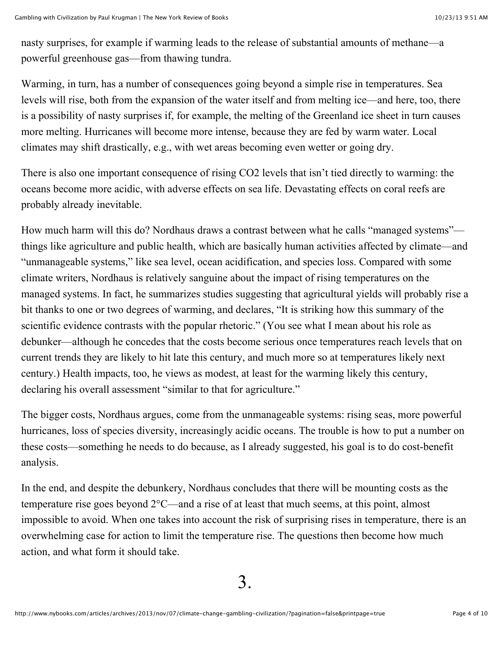nasty surprises, for example if warming leads to the release of substantial amounts of methane—a powerful greenhouse gas—from thawing tundra.

Warming, in turn, has a number of consequences going beyond a simple rise in temperatures. Sea levels will rise, both from the expansion of the water itself and from melting ice—and here, too, there is a possibility of nasty surprises if, for example, the melting of the Greenland ice sheet in turn causes more melting. Hurricanes will become more intense, because they are fed by warm water. Local climates may shift drastically, e.g., with wet areas becoming even wetter or going dry.

There is also one important consequence of rising CO2 levels that isn't tied directly to warming: the oceans become more acidic, with adverse effects on sea life. Devastating effects on coral reefs are probably already inevitable.

How much harm will this do? Nordhaus draws a contrast between what he calls "managed systems" things like agriculture and public health, which are basically human activities affected by climate—and "unmanageable systems," like sea level, ocean acidification, and species loss. Compared with some climate writers, Nordhaus is relatively sanguine about the impact of rising temperatures on the managed systems. In fact, he summarizes studies suggesting that agricultural yields will probably rise a bit thanks to one or two degrees of warming, and declares, "It is striking how this summary of the scientific evidence contrasts with the popular rhetoric." (You see what I mean about his role as debunker—although he concedes that the costs become serious once temperatures reach levels that on current trends they are likely to hit late this century, and much more so at temperatures likely next century.) Health impacts, too, he views as modest, at least for the warming likely this century, declaring his overall assessment "similar to that for agriculture."

The bigger costs, Nordhaus argues, come from the unmanageable systems: rising seas, more powerful hurricanes, loss of species diversity, increasingly acidic oceans. The trouble is how to put a number on these costs—something he needs to do because, as I already suggested, his goal is to do cost-benefit analysis.

In the end, and despite the debunkery, Nordhaus concludes that there will be mounting costs as the temperature rise goes beyond 2°C—and a rise of at least that much seems, at this point, almost impossible to avoid. When one takes into account the risk of surprising rises in temperature, there is an overwhelming case for action to limit the temperature rise. The questions then become how much action, and what form it should take.

3.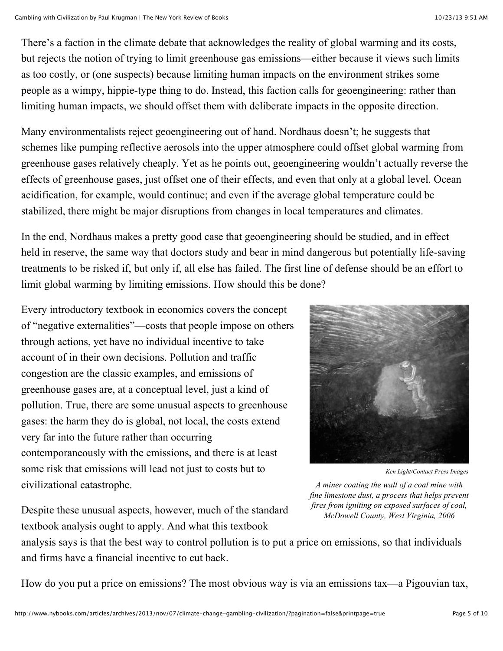There's a faction in the climate debate that acknowledges the reality of global warming and its costs, but rejects the notion of trying to limit greenhouse gas emissions—either because it views such limits as too costly, or (one suspects) because limiting human impacts on the environment strikes some people as a wimpy, hippie-type thing to do. Instead, this faction calls for geoengineering: rather than limiting human impacts, we should offset them with deliberate impacts in the opposite direction.

Many environmentalists reject geoengineering out of hand. Nordhaus doesn't; he suggests that schemes like pumping reflective aerosols into the upper atmosphere could offset global warming from greenhouse gases relatively cheaply. Yet as he points out, geoengineering wouldn't actually reverse the effects of greenhouse gases, just offset one of their effects, and even that only at a global level. Ocean acidification, for example, would continue; and even if the average global temperature could be stabilized, there might be major disruptions from changes in local temperatures and climates.

In the end, Nordhaus makes a pretty good case that geoengineering should be studied, and in effect held in reserve, the same way that doctors study and bear in mind dangerous but potentially life-saving treatments to be risked if, but only if, all else has failed. The first line of defense should be an effort to limit global warming by limiting emissions. How should this be done?

Every introductory textbook in economics covers the concept of "negative externalities"—costs that people impose on others through actions, yet have no individual incentive to take account of in their own decisions. Pollution and traffic congestion are the classic examples, and emissions of greenhouse gases are, at a conceptual level, just a kind of pollution. True, there are some unusual aspects to greenhouse gases: the harm they do is global, not local, the costs extend very far into the future rather than occurring contemporaneously with the emissions, and there is at least some risk that emissions will lead not just to costs but to civilizational catastrophe.



*Ken Light/Contact Press Images*

*A miner coating the wall of a coal mine with fine limestone dust, a process that helps prevent fires from igniting on exposed surfaces of coal, McDowell County, West Virginia, 2006*

Despite these unusual aspects, however, much of the standard textbook analysis ought to apply. And what this textbook

analysis says is that the best way to control pollution is to put a price on emissions, so that individuals and firms have a financial incentive to cut back.

How do you put a price on emissions? The most obvious way is via an emissions tax—a Pigouvian tax,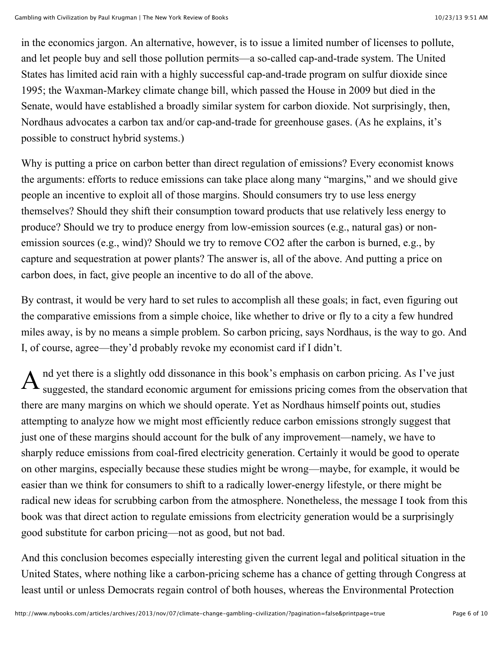in the economics jargon. An alternative, however, is to issue a limited number of licenses to pollute, and let people buy and sell those pollution permits—a so-called cap-and-trade system. The United States has limited acid rain with a highly successful cap-and-trade program on sulfur dioxide since 1995; the Waxman-Markey climate change bill, which passed the House in 2009 but died in the Senate, would have established a broadly similar system for carbon dioxide. Not surprisingly, then, Nordhaus advocates a carbon tax and/or cap-and-trade for greenhouse gases. (As he explains, it's possible to construct hybrid systems.)

Why is putting a price on carbon better than direct regulation of emissions? Every economist knows the arguments: efforts to reduce emissions can take place along many "margins," and we should give people an incentive to exploit all of those margins. Should consumers try to use less energy themselves? Should they shift their consumption toward products that use relatively less energy to produce? Should we try to produce energy from low-emission sources (e.g., natural gas) or nonemission sources (e.g., wind)? Should we try to remove CO2 after the carbon is burned, e.g., by capture and sequestration at power plants? The answer is, all of the above. And putting a price on carbon does, in fact, give people an incentive to do all of the above.

By contrast, it would be very hard to set rules to accomplish all these goals; in fact, even figuring out the comparative emissions from a simple choice, like whether to drive or fly to a city a few hundred miles away, is by no means a simple problem. So carbon pricing, says Nordhaus, is the way to go. And I, of course, agree—they'd probably revoke my economist card if I didn't.

A nd yet there is a slightly odd dissonance in this book's emphasis on carbon pricing. As I've just suggested, the standard economic argument for emissions pricing comes from the observation that there are many margins on which we should operate. Yet as Nordhaus himself points out, studies attempting to analyze how we might most efficiently reduce carbon emissions strongly suggest that just one of these margins should account for the bulk of any improvement—namely, we have to sharply reduce emissions from coal-fired electricity generation. Certainly it would be good to operate on other margins, especially because these studies might be wrong—maybe, for example, it would be easier than we think for consumers to shift to a radically lower-energy lifestyle, or there might be radical new ideas for scrubbing carbon from the atmosphere. Nonetheless, the message I took from this book was that direct action to regulate emissions from electricity generation would be a surprisingly good substitute for carbon pricing—not as good, but not bad.

And this conclusion becomes especially interesting given the current legal and political situation in the United States, where nothing like a carbon-pricing scheme has a chance of getting through Congress at least until or unless Democrats regain control of both houses, whereas the Environmental Protection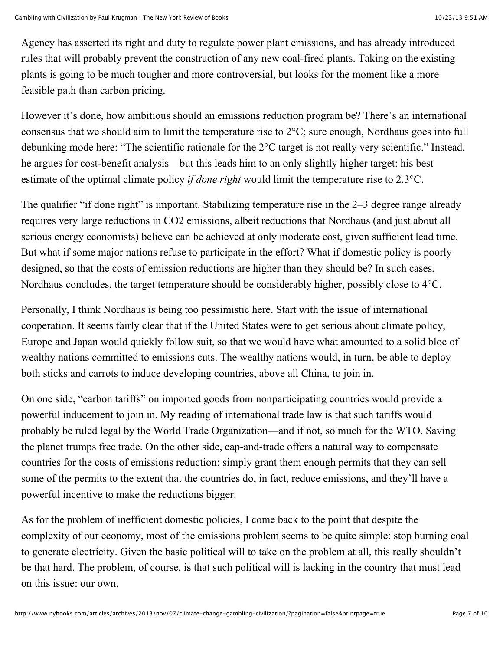Agency has asserted its right and duty to regulate power plant emissions, and has already introduced rules that will probably prevent the construction of any new coal-fired plants. Taking on the existing plants is going to be much tougher and more controversial, but looks for the moment like a more feasible path than carbon pricing.

However it's done, how ambitious should an emissions reduction program be? There's an international consensus that we should aim to limit the temperature rise to 2°C; sure enough, Nordhaus goes into full debunking mode here: "The scientific rationale for the 2°C target is not really very scientific." Instead, he argues for cost-benefit analysis—but this leads him to an only slightly higher target: his best estimate of the optimal climate policy *if done right* would limit the temperature rise to 2.3°C.

The qualifier "if done right" is important. Stabilizing temperature rise in the 2–3 degree range already requires very large reductions in CO2 emissions, albeit reductions that Nordhaus (and just about all serious energy economists) believe can be achieved at only moderate cost, given sufficient lead time. But what if some major nations refuse to participate in the effort? What if domestic policy is poorly designed, so that the costs of emission reductions are higher than they should be? In such cases, Nordhaus concludes, the target temperature should be considerably higher, possibly close to 4°C.

Personally, I think Nordhaus is being too pessimistic here. Start with the issue of international cooperation. It seems fairly clear that if the United States were to get serious about climate policy, Europe and Japan would quickly follow suit, so that we would have what amounted to a solid bloc of wealthy nations committed to emissions cuts. The wealthy nations would, in turn, be able to deploy both sticks and carrots to induce developing countries, above all China, to join in.

On one side, "carbon tariffs" on imported goods from nonparticipating countries would provide a powerful inducement to join in. My reading of international trade law is that such tariffs would probably be ruled legal by the World Trade Organization—and if not, so much for the WTO. Saving the planet trumps free trade. On the other side, cap-and-trade offers a natural way to compensate countries for the costs of emissions reduction: simply grant them enough permits that they can sell some of the permits to the extent that the countries do, in fact, reduce emissions, and they'll have a powerful incentive to make the reductions bigger.

As for the problem of inefficient domestic policies, I come back to the point that despite the complexity of our economy, most of the emissions problem seems to be quite simple: stop burning coal to generate electricity. Given the basic political will to take on the problem at all, this really shouldn't be that hard. The problem, of course, is that such political will is lacking in the country that must lead on this issue: our own.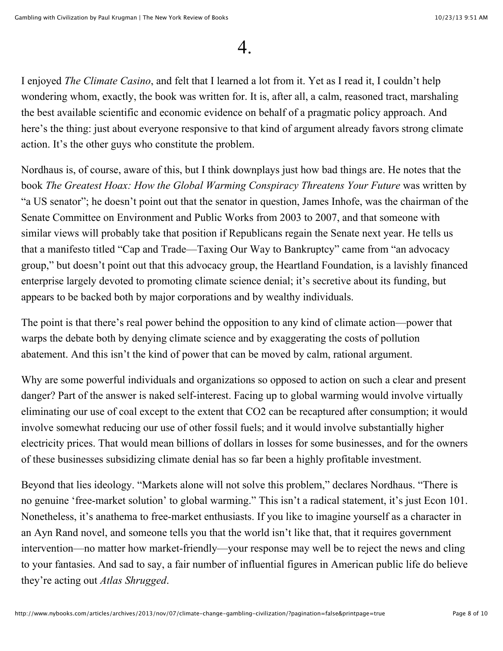### 4.

I enjoyed *The Climate Casino*, and felt that I learned a lot from it. Yet as I read it, I couldn't help wondering whom, exactly, the book was written for. It is, after all, a calm, reasoned tract, marshaling the best available scientific and economic evidence on behalf of a pragmatic policy approach. And here's the thing: just about everyone responsive to that kind of argument already favors strong climate action. It's the other guys who constitute the problem.

Nordhaus is, of course, aware of this, but I think downplays just how bad things are. He notes that the book *The Greatest Hoax: How the Global Warming Conspiracy Threatens Your Future* was written by "a US senator"; he doesn't point out that the senator in question, James Inhofe, was the chairman of the Senate Committee on Environment and Public Works from 2003 to 2007, and that someone with similar views will probably take that position if Republicans regain the Senate next year. He tells us that a manifesto titled "Cap and Trade—Taxing Our Way to Bankruptcy" came from "an advocacy group," but doesn't point out that this advocacy group, the Heartland Foundation, is a lavishly financed enterprise largely devoted to promoting climate science denial; it's secretive about its funding, but appears to be backed both by major corporations and by wealthy individuals.

The point is that there's real power behind the opposition to any kind of climate action—power that warps the debate both by denying climate science and by exaggerating the costs of pollution abatement. And this isn't the kind of power that can be moved by calm, rational argument.

Why are some powerful individuals and organizations so opposed to action on such a clear and present danger? Part of the answer is naked self-interest. Facing up to global warming would involve virtually eliminating our use of coal except to the extent that CO2 can be recaptured after consumption; it would involve somewhat reducing our use of other fossil fuels; and it would involve substantially higher electricity prices. That would mean billions of dollars in losses for some businesses, and for the owners of these businesses subsidizing climate denial has so far been a highly profitable investment.

Beyond that lies ideology. "Markets alone will not solve this problem," declares Nordhaus. "There is no genuine 'free-market solution' to global warming." This isn't a radical statement, it's just Econ 101. Nonetheless, it's anathema to free-market enthusiasts. If you like to imagine yourself as a character in an Ayn Rand novel, and someone tells you that the world isn't like that, that it requires government intervention—no matter how market-friendly—your response may well be to reject the news and cling to your fantasies. And sad to say, a fair number of influential figures in American public life do believe they're acting out *Atlas Shrugged*.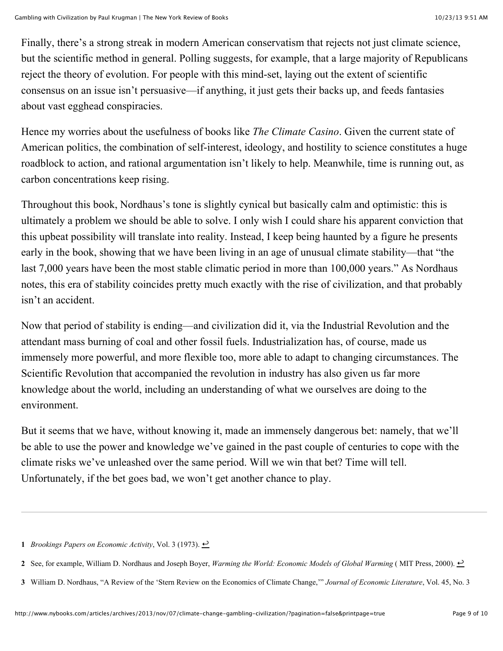Finally, there's a strong streak in modern American conservatism that rejects not just climate science, but the scientific method in general. Polling suggests, for example, that a large majority of Republicans reject the theory of evolution. For people with this mind-set, laying out the extent of scientific consensus on an issue isn't persuasive—if anything, it just gets their backs up, and feeds fantasies about vast egghead conspiracies.

Hence my worries about the usefulness of books like *The Climate Casino*. Given the current state of American politics, the combination of self-interest, ideology, and hostility to science constitutes a huge roadblock to action, and rational argumentation isn't likely to help. Meanwhile, time is running out, as carbon concentrations keep rising.

Throughout this book, Nordhaus's tone is slightly cynical but basically calm and optimistic: this is ultimately a problem we should be able to solve. I only wish I could share his apparent conviction that this upbeat possibility will translate into reality. Instead, I keep being haunted by a figure he presents early in the book, showing that we have been living in an age of unusual climate stability—that "the last 7,000 years have been the most stable climatic period in more than 100,000 years." As Nordhaus notes, this era of stability coincides pretty much exactly with the rise of civilization, and that probably isn't an accident.

Now that period of stability is ending—and civilization did it, via the Industrial Revolution and the attendant mass burning of coal and other fossil fuels. Industrialization has, of course, made us immensely more powerful, and more flexible too, more able to adapt to changing circumstances. The Scientific Revolution that accompanied the revolution in industry has also given us far more knowledge about the world, including an understanding of what we ourselves are doing to the environment.

But it seems that we have, without knowing it, made an immensely dangerous bet: namely, that we'll be able to use the power and knowledge we've gained in the past couple of centuries to cope with the climate risks we've unleashed over the same period. Will we win that bet? Time will tell. Unfortunately, if the bet goes bad, we won't get another chance to play.

**<sup>1</sup>** *Brookings Papers on Economic Activity*, Vol. 3 (1973).  $\rightarrow$ 

**<sup>2</sup>** See, for example, William D. Nordhaus and Joseph Boyer, *Warming the World: Economic Models of Global Warming* (MIT Press, 2000). <del>○</del>

**<sup>3</sup>** William D. Nordhaus, "A Review of the 'Stern Review on the Economics of Climate Change,'" *Journal of Economic Literature*, Vol. 45, No. 3